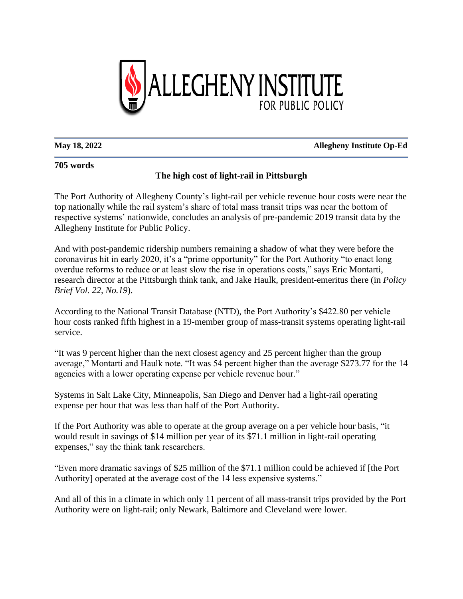

**May 18, 2022 Allegheny Institute Op-Ed**

## **705 words**

The Port Authority of Allegheny County's light-rail per vehicle revenue hour costs were near the top nationally while the rail system's share of total mass transit trips was near the bottom of respective systems' nationwide, concludes an analysis of pre-pandemic 2019 transit data by the Allegheny Institute for Public Policy.

**The high cost of light-rail in Pittsburgh**

And with post-pandemic ridership numbers remaining a shadow of what they were before the coronavirus hit in early 2020, it's a "prime opportunity" for the Port Authority "to enact long overdue reforms to reduce or at least slow the rise in operations costs," says Eric Montarti, research director at the Pittsburgh think tank, and Jake Haulk, president-emeritus there (in *Policy Brief Vol. 22, No.19*).

According to the National Transit Database (NTD), the Port Authority's \$422.80 per vehicle hour costs ranked fifth highest in a 19-member group of mass-transit systems operating light-rail service.

"It was 9 percent higher than the next closest agency and 25 percent higher than the group average," Montarti and Haulk note. "It was 54 percent higher than the average \$273.77 for the 14 agencies with a lower operating expense per vehicle revenue hour."

Systems in Salt Lake City, Minneapolis, San Diego and Denver had a light-rail operating expense per hour that was less than half of the Port Authority.

If the Port Authority was able to operate at the group average on a per vehicle hour basis, "it would result in savings of \$14 million per year of its \$71.1 million in light-rail operating expenses," say the think tank researchers.

"Even more dramatic savings of \$25 million of the \$71.1 million could be achieved if [the Port Authority] operated at the average cost of the 14 less expensive systems."

And all of this in a climate in which only 11 percent of all mass-transit trips provided by the Port Authority were on light-rail; only Newark, Baltimore and Cleveland were lower.